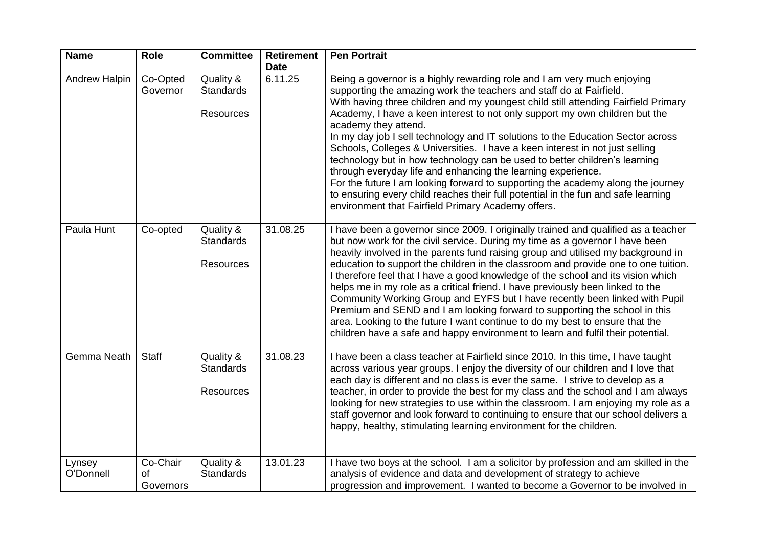| <b>Name</b>         | Role                        | <b>Committee</b>                                  | <b>Retirement</b><br><b>Date</b> | <b>Pen Portrait</b>                                                                                                                                                                                                                                                                                                                                                                                                                                                                                                                                                                                                                                                                                                                                                                                                                                                                        |
|---------------------|-----------------------------|---------------------------------------------------|----------------------------------|--------------------------------------------------------------------------------------------------------------------------------------------------------------------------------------------------------------------------------------------------------------------------------------------------------------------------------------------------------------------------------------------------------------------------------------------------------------------------------------------------------------------------------------------------------------------------------------------------------------------------------------------------------------------------------------------------------------------------------------------------------------------------------------------------------------------------------------------------------------------------------------------|
| Andrew Halpin       | Co-Opted<br>Governor        | Quality &<br><b>Standards</b><br><b>Resources</b> | 6.11.25                          | Being a governor is a highly rewarding role and I am very much enjoying<br>supporting the amazing work the teachers and staff do at Fairfield.<br>With having three children and my youngest child still attending Fairfield Primary<br>Academy, I have a keen interest to not only support my own children but the<br>academy they attend.<br>In my day job I sell technology and IT solutions to the Education Sector across<br>Schools, Colleges & Universities. I have a keen interest in not just selling<br>technology but in how technology can be used to better children's learning<br>through everyday life and enhancing the learning experience.<br>For the future I am looking forward to supporting the academy along the journey<br>to ensuring every child reaches their full potential in the fun and safe learning<br>environment that Fairfield Primary Academy offers. |
| Paula Hunt          | Co-opted                    | Quality &<br><b>Standards</b><br><b>Resources</b> | 31.08.25                         | I have been a governor since 2009. I originally trained and qualified as a teacher<br>but now work for the civil service. During my time as a governor I have been<br>heavily involved in the parents fund raising group and utilised my background in<br>education to support the children in the classroom and provide one to one tuition.<br>I therefore feel that I have a good knowledge of the school and its vision which<br>helps me in my role as a critical friend. I have previously been linked to the<br>Community Working Group and EYFS but I have recently been linked with Pupil<br>Premium and SEND and I am looking forward to supporting the school in this<br>area. Looking to the future I want continue to do my best to ensure that the<br>children have a safe and happy environment to learn and fulfil their potential.                                         |
| Gemma Neath         | <b>Staff</b>                | Quality &<br><b>Standards</b><br><b>Resources</b> | 31.08.23                         | I have been a class teacher at Fairfield since 2010. In this time, I have taught<br>across various year groups. I enjoy the diversity of our children and I love that<br>each day is different and no class is ever the same. I strive to develop as a<br>teacher, in order to provide the best for my class and the school and I am always<br>looking for new strategies to use within the classroom. I am enjoying my role as a<br>staff governor and look forward to continuing to ensure that our school delivers a<br>happy, healthy, stimulating learning environment for the children.                                                                                                                                                                                                                                                                                              |
| Lynsey<br>O'Donnell | Co-Chair<br>of<br>Governors | Quality &<br><b>Standards</b>                     | 13.01.23                         | I have two boys at the school. I am a solicitor by profession and am skilled in the<br>analysis of evidence and data and development of strategy to achieve<br>progression and improvement. I wanted to become a Governor to be involved in                                                                                                                                                                                                                                                                                                                                                                                                                                                                                                                                                                                                                                                |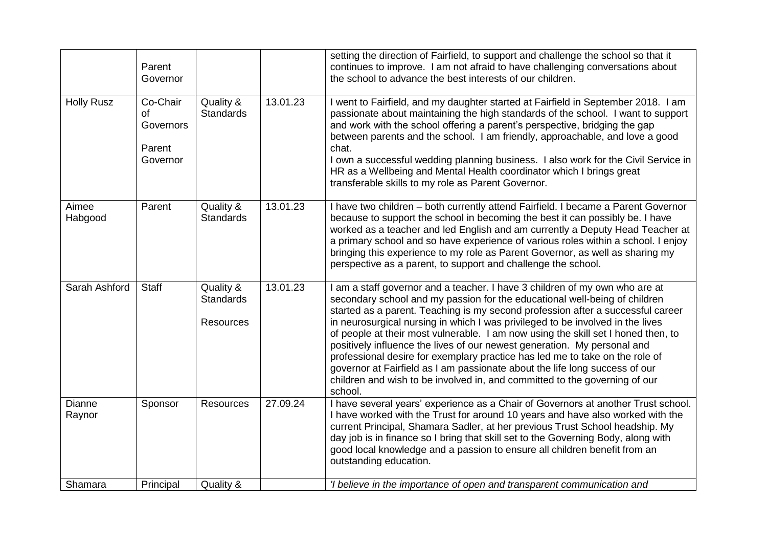|                   | Parent<br>Governor                                |                                                   |          | setting the direction of Fairfield, to support and challenge the school so that it<br>continues to improve. I am not afraid to have challenging conversations about<br>the school to advance the best interests of our children.                                                                                                                                                                                                                                                                                                                                                                                                                                                                                                                        |
|-------------------|---------------------------------------------------|---------------------------------------------------|----------|---------------------------------------------------------------------------------------------------------------------------------------------------------------------------------------------------------------------------------------------------------------------------------------------------------------------------------------------------------------------------------------------------------------------------------------------------------------------------------------------------------------------------------------------------------------------------------------------------------------------------------------------------------------------------------------------------------------------------------------------------------|
| <b>Holly Rusz</b> | Co-Chair<br>of<br>Governors<br>Parent<br>Governor | Quality &<br><b>Standards</b>                     | 13.01.23 | I went to Fairfield, and my daughter started at Fairfield in September 2018. I am<br>passionate about maintaining the high standards of the school. I want to support<br>and work with the school offering a parent's perspective, bridging the gap<br>between parents and the school. I am friendly, approachable, and love a good<br>chat.<br>I own a successful wedding planning business. I also work for the Civil Service in<br>HR as a Wellbeing and Mental Health coordinator which I brings great<br>transferable skills to my role as Parent Governor.                                                                                                                                                                                        |
| Aimee<br>Habgood  | Parent                                            | Quality &<br><b>Standards</b>                     | 13.01.23 | I have two children - both currently attend Fairfield. I became a Parent Governor<br>because to support the school in becoming the best it can possibly be. I have<br>worked as a teacher and led English and am currently a Deputy Head Teacher at<br>a primary school and so have experience of various roles within a school. I enjoy<br>bringing this experience to my role as Parent Governor, as well as sharing my<br>perspective as a parent, to support and challenge the school.                                                                                                                                                                                                                                                              |
| Sarah Ashford     | <b>Staff</b>                                      | Quality &<br><b>Standards</b><br><b>Resources</b> | 13.01.23 | I am a staff governor and a teacher. I have 3 children of my own who are at<br>secondary school and my passion for the educational well-being of children<br>started as a parent. Teaching is my second profession after a successful career<br>in neurosurgical nursing in which I was privileged to be involved in the lives<br>of people at their most vulnerable. I am now using the skill set I honed then, to<br>positively influence the lives of our newest generation. My personal and<br>professional desire for exemplary practice has led me to take on the role of<br>governor at Fairfield as I am passionate about the life long success of our<br>children and wish to be involved in, and committed to the governing of our<br>school. |
| Dianne<br>Raynor  | Sponsor                                           | <b>Resources</b>                                  | 27.09.24 | I have several years' experience as a Chair of Governors at another Trust school.<br>I have worked with the Trust for around 10 years and have also worked with the<br>current Principal, Shamara Sadler, at her previous Trust School headship. My<br>day job is in finance so I bring that skill set to the Governing Body, along with<br>good local knowledge and a passion to ensure all children benefit from an<br>outstanding education.                                                                                                                                                                                                                                                                                                         |
| Shamara           | Principal                                         | Quality &                                         |          | 'I believe in the importance of open and transparent communication and                                                                                                                                                                                                                                                                                                                                                                                                                                                                                                                                                                                                                                                                                  |